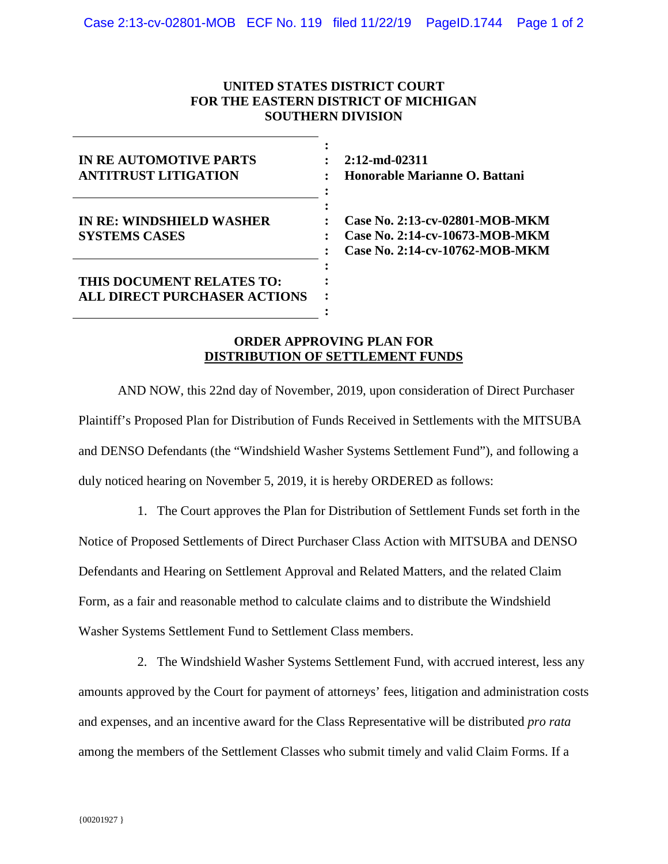## **UNITED STATES DISTRICT COURT FOR THE EASTERN DISTRICT OF MICHIGAN SOUTHERN DIVISION**

| <b>IN RE AUTOMOTIVE PARTS</b><br><b>ANTITRUST LITIGATION</b>     |  |
|------------------------------------------------------------------|--|
| <b>IN RE: WINDSHIELD WASHER</b><br><b>SYSTEMS CASES</b>          |  |
| THIS DOCUMENT RELATES TO:<br><b>ALL DIRECT PURCHASER ACTIONS</b> |  |

**2:12-md-02311 Honorable Marianne O. Battani**

**Case No. 2:13-cv-02801-MOB-MKM Case No. 2:14-cv-10673-MOB-MKM Case No. 2:14-cv-10762-MOB-MKM**

## **ORDER APPROVING PLAN FOR DISTRIBUTION OF SETTLEMENT FUNDS**

AND NOW, this 22nd day of November, 2019, upon consideration of Direct Purchaser Plaintiff's Proposed Plan for Distribution of Funds Received in Settlements with the MITSUBA and DENSO Defendants (the "Windshield Washer Systems Settlement Fund"), and following a duly noticed hearing on November 5, 2019, it is hereby ORDERED as follows:

1. The Court approves the Plan for Distribution of Settlement Funds set forth in the Notice of Proposed Settlements of Direct Purchaser Class Action with MITSUBA and DENSO Defendants and Hearing on Settlement Approval and Related Matters, and the related Claim Form, as a fair and reasonable method to calculate claims and to distribute the Windshield Washer Systems Settlement Fund to Settlement Class members.

2. The Windshield Washer Systems Settlement Fund, with accrued interest, less any amounts approved by the Court for payment of attorneys' fees, litigation and administration costs and expenses, and an incentive award for the Class Representative will be distributed *pro rata* among the members of the Settlement Classes who submit timely and valid Claim Forms. If a